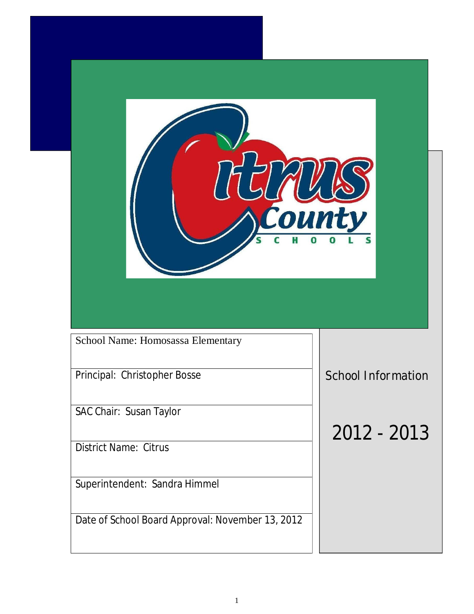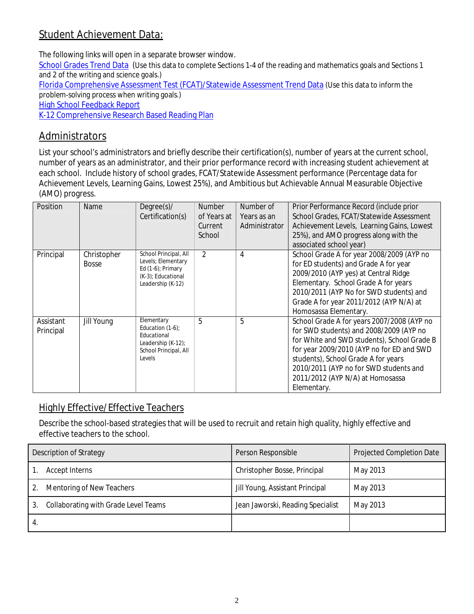## **Student Achievement Data:**

The following links will open in a separate browser window.

School Grades Trend Data (Use this data to complete Sections 1-4 of the reading and mathematics goals and Sections 1 and 2 of the writing and science goals.)

Florida Comprehensive Assessment Test (FCAT)/Statewide Assessment Trend Data (Use this data to inform the problem-solving process when writing goals.)

High School Feedback Report

K-12 Comprehensive Research Based Reading Plan

### **Administrators**

List your school's administrators and briefly describe their certification(s), number of years at the current school, number of years as an administrator, and their prior performance record with increasing student achievement at each school. Include history of school grades, FCAT/Statewide Assessment performance (Percentage data for Achievement Levels, Learning Gains, Lowest 25%), and Ambitious but Achievable Annual Measurable Objective (AMO) progress.

| Position               | Name                        | $Degree(s)$ /<br>Certification(s)                                                                           | Number<br>of Years at<br>Current<br>School | Number of<br>Years as an<br>Administrator | Prior Performance Record (include prior<br>School Grades, FCAT/Statewide Assessment<br>Achievement Levels, Learning Gains, Lowest<br>25%), and AMO progress along with the<br>associated school year)                                                                                                                 |
|------------------------|-----------------------------|-------------------------------------------------------------------------------------------------------------|--------------------------------------------|-------------------------------------------|-----------------------------------------------------------------------------------------------------------------------------------------------------------------------------------------------------------------------------------------------------------------------------------------------------------------------|
| Principal              | Christopher<br><b>Bosse</b> | School Principal, All<br>Levels; Elementary<br>Ed (1-6); Primary<br>(K-3); Educational<br>Leadership (K-12) | $\mathcal{D}$                              | 4                                         | School Grade A for year 2008/2009 (AYP no<br>for ED students) and Grade A for year<br>2009/2010 (AYP yes) at Central Ridge<br>Elementary. School Grade A for years<br>2010/2011 (AYP No for SWD students) and<br>Grade A for year 2011/2012 (AYP N/A) at<br>Homosassa Elementary.                                     |
| Assistant<br>Principal | Jill Young                  | Elementary<br>Education (1-6):<br>Educational<br>Leadership (K-12);<br>School Principal, All<br>Levels      | 5                                          | 5                                         | School Grade A for years 2007/2008 (AYP no<br>for SWD students) and 2008/2009 (AYP no<br>for White and SWD students), School Grade B<br>for year 2009/2010 (AYP no for ED and SWD<br>students), School Grade A for years<br>2010/2011 (AYP no for SWD students and<br>2011/2012 (AYP N/A) at Homosassa<br>Elementary. |

### **Highly Effective/Effective Teachers**

Describe the school-based strategies that will be used to recruit and retain high quality, highly effective and effective teachers to the school.

| Description of Strategy              | Person Responsible                | Projected Completion Date |
|--------------------------------------|-----------------------------------|---------------------------|
| Accept Interns                       | Christopher Bosse, Principal      | May 2013                  |
| Mentoring of New Teachers            | Jill Young, Assistant Principal   | May 2013                  |
| Collaborating with Grade Level Teams | Jean Jaworski, Reading Specialist | May 2013                  |
|                                      |                                   |                           |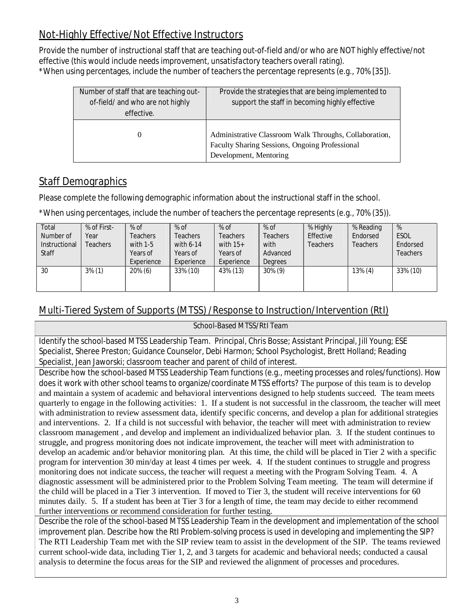## **Not-Highly Effective/Not Effective Instructors**

Provide the number of instructional staff that are teaching out-of-field and/or who are NOT highly effective/not effective (this would include *needs improvement, unsatisfactory* teachers overall rating). \*When using percentages, include the number of teachers the percentage represents (e.g., 70% [35]).

| Number of staff that are teaching out-<br>of-field/ and who are not highly<br>effective. | Provide the strategies that are being implemented to<br>support the staff in becoming highly effective                             |  |
|------------------------------------------------------------------------------------------|------------------------------------------------------------------------------------------------------------------------------------|--|
|                                                                                          | Administrative Classroom Walk Throughs, Collaboration,<br>Faculty Sharing Sessions, Ongoing Professional<br>Development, Mentoring |  |

## **Staff Demographics**

Please complete the following demographic information about the instructional staff in the school.

\*When using percentages, include the number of teachers the percentage represents (e.g., 70% (35)).

| Total<br>Number of<br>Instructional<br>Staff | % of First-<br>Year<br>Teachers | $%$ of<br><b>Teachers</b><br>with 1-5<br>Years of<br>Experience | % of<br><b>Feachers</b><br>with 6-14<br>Years of<br>Experience | $%$ of<br>Teachers<br>with $15+$<br>Years of<br>Experience | % of<br>Teachers<br>with<br>Advanced<br>Degrees | % Highly<br><b>Effective</b><br>Teachers | % Reading<br>Endorsed<br><b>Teachers</b> | %<br>ESOL<br>Endorsed<br><b>Teachers</b> |
|----------------------------------------------|---------------------------------|-----------------------------------------------------------------|----------------------------------------------------------------|------------------------------------------------------------|-------------------------------------------------|------------------------------------------|------------------------------------------|------------------------------------------|
| 30                                           | $3\%$ (1)                       | $20\%$ (6)                                                      | 33% (10)                                                       | 43% (13)                                                   | $30\%$ (9)                                      |                                          | $13\%$ (4)                               | 33% (10)                                 |

## **Multi-Tiered System of Supports (MTSS) /Response to Instruction/Intervention (RtI)**

**School-Based MTSS/RtI Team** Identify the school-based MTSS Leadership Team. Principal, Chris Bosse; Assistant Principal, Jill Young; ESE Specialist, Sheree Preston; Guidance Counselor, Debi Harmon; School Psychologist, Brett Holland; Reading

Specialist, Jean Jaworski; classroom teacher and parent of child of interest.

Describe how the school-based MTSS Leadership Team functions (e.g., meeting processes and roles/functions). How does it work with other school teams to organize/coordinate MTSS efforts? The purpose of this team is to develop and maintain a system of academic and behavioral interventions designed to help students succeed. The team meets quarterly to engage in the following activities: 1. If a student is not successful in the classroom, the teacher will meet with administration to review assessment data, identify specific concerns, and develop a plan for additional strategies and interventions. 2. If a child is not successful with behavior, the teacher will meet with administration to review classroom management , and develop and implement an individualized behavior plan. 3. If the student continues to struggle, and progress monitoring does not indicate improvement, the teacher will meet with administration to develop an academic and/or behavior monitoring plan. At this time, the child will be placed in Tier 2 with a specific program for intervention 30 min/day at least 4 times per week. 4. If the student continues to struggle and progress monitoring does not indicate success, the teacher will request a meeting with the Program Solving Team. 4. A diagnostic assessment will be administered prior to the Problem Solving Team meeting. The team will determine if the child will be placed in a Tier 3 intervention. If moved to Tier 3, the student will receive interventions for 60 minutes daily. 5. If a student has been at Tier 3 for a length of time, the team may decide to either recommend further interventions or recommend consideration for further testing.

Describe the role of the school-based MTSS Leadership Team in the development and implementation of the school improvement plan. Describe how the RtI Problem-solving process is used in developing and implementing the SIP? The RTI Leadership Team met with the SIP review team to assist in the development of the SIP. The teams reviewed current school-wide data, including Tier 1, 2, and 3 targets for academic and behavioral needs; conducted a causal analysis to determine the focus areas for the SIP and reviewed the alignment of processes and procedures.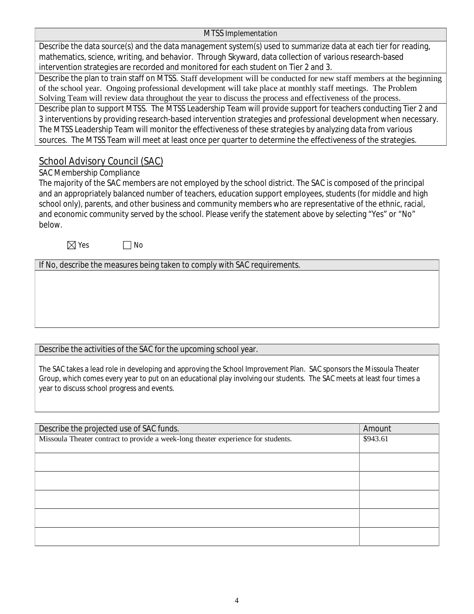#### **MTSS Implementation**

Describe the data source(s) and the data management system(s) used to summarize data at each tier for reading, mathematics, science, writing, and behavior. Through Skyward, data collection of various r[esearch-based](search-based) intervention strategies are recorded and monitored for each student on Tier 2 and 3.

Describe the plan to train staff on MTSS. Staff development will be conducted for new staff members at the beginning of the school year. Ongoing professional development will take place at monthly staff meetings. The Problem Solving Team will review data throughout the year to discuss the process and effectiveness of the process.

Describe plan to support MTSS. The MTSS Leadership Team will provide support for teachers conducting Tier 2 and 3 interventions by providing re<search-based> intervention strategies and professional development when necessary. The MTSS Leadership Team will monitor the effectiveness of these strategies by analyzing data from various sources. The MTSS Team will meet at least once per quarter to determine the effectiveness of the strategies.

### **School Advisory Council (SAC)**

### *SAC Membership Compliance*

The majority of the SAC members are not employed by the school district. The SAC is composed of the principal and an appropriately balanced number of teachers, education support employees, students (for middle and high school only), parents, and other business and community members who are representative of the ethnic, racial, and economic community served by the school. Please verify the statement above by selecting "Yes"or "No" below.

 $\nabla$  Yes  $\Box$  No

If No, describe the measures being taken to comply with SAC requirements.

### Describe the activities of the SAC for the upcoming school year.

The SAC takes a lead role in developing and approving the School Improvement Plan. SAC sponsors the Missoula Theater Group, which comes every year to put on an educational play involving our students. The SAC meets at least four times a year to discuss school progress and events.

| Amount   |
|----------|
| \$943.61 |
|          |
|          |
|          |
|          |
|          |
|          |
|          |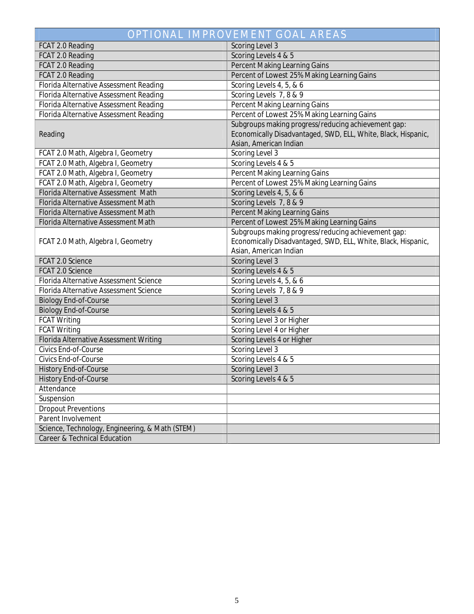|                                                 | <b>OPTIONAL IMPROVEMENT GOAL AREAS</b>                                                                                                         |
|-------------------------------------------------|------------------------------------------------------------------------------------------------------------------------------------------------|
| FCAT 2.0 Reading                                | Scoring Level 3                                                                                                                                |
| FCAT 2.0 Reading                                | Scoring Levels 4 & 5                                                                                                                           |
| FCAT 2.0 Reading                                | Percent Making Learning Gains                                                                                                                  |
| FCAT 2.0 Reading                                | Percent of Lowest 25% Making Learning Gains                                                                                                    |
| Florida Alternative Assessment Reading          | Scoring Levels 4, 5, & 6                                                                                                                       |
| Florida Alternative Assessment Reading          | Scoring Levels 7, 8 & 9                                                                                                                        |
| Florida Alternative Assessment Reading          | Percent Making Learning Gains                                                                                                                  |
| Florida Alternative Assessment Reading          | Percent of Lowest 25% Making Learning Gains                                                                                                    |
| Reading                                         | Subgroups making progress/reducing achievement gap:<br>Economically Disadvantaged, SWD, ELL, White, Black, Hispanic,<br>Asian, American Indian |
| FCAT 2.0 Math, Algebra I, Geometry              | Scoring Level 3                                                                                                                                |
| FCAT 2.0 Math, Algebra I, Geometry              | Scoring Levels 4 & 5                                                                                                                           |
| FCAT 2.0 Math, Algebra I, Geometry              | Percent Making Learning Gains                                                                                                                  |
| FCAT 2.0 Math, Algebra I, Geometry              | Percent of Lowest 25% Making Learning Gains                                                                                                    |
| Florida Alternative Assessment Math             | Scoring Levels 4, 5, & 6                                                                                                                       |
| Florida Alternative Assessment Math             | Scoring Levels 7, 8 & 9                                                                                                                        |
| Florida Alternative Assessment Math             | Percent Making Learning Gains                                                                                                                  |
| Florida Alternative Assessment Math             | Percent of Lowest 25% Making Learning Gains                                                                                                    |
| FCAT 2.0 Math, Algebra I, Geometry              | Subgroups making progress/reducing achievement gap:<br>Economically Disadvantaged, SWD, ELL, White, Black, Hispanic,<br>Asian, American Indian |
| FCAT 2.0 Science                                | Scoring Level 3                                                                                                                                |
| FCAT 2.0 Science                                | Scoring Levels 4 & 5                                                                                                                           |
| Florida Alternative Assessment Science          | Scoring Levels 4, 5, & 6                                                                                                                       |
| Florida Alternative Assessment Science          | Scoring Levels 7, 8 & 9                                                                                                                        |
| <b>Biology End-of-Course</b>                    | Scoring Level 3                                                                                                                                |
| <b>Biology End-of-Course</b>                    | Scoring Levels 4 & 5                                                                                                                           |
| FCAT Writing                                    | Scoring Level 3 or Higher                                                                                                                      |
| <b>FCAT Writing</b>                             | Scoring Level 4 or Higher                                                                                                                      |
| Florida Alternative Assessment Writing          | Scoring Levels 4 or Higher                                                                                                                     |
| Civics End-of-Course                            | Scoring Level 3                                                                                                                                |
| Civics End-of-Course                            | Scoring Levels 4 & 5                                                                                                                           |
| History End-of-Course                           | Scoring Level 3                                                                                                                                |
| History End-of-Course                           | Scoring Levels 4 & 5                                                                                                                           |
| Attendance                                      |                                                                                                                                                |
| Suspension                                      |                                                                                                                                                |
| <b>Dropout Preventions</b>                      |                                                                                                                                                |
| Parent Involvement                              |                                                                                                                                                |
| Science, Technology, Engineering, & Math (STEM) |                                                                                                                                                |
| Career & Technical Education                    |                                                                                                                                                |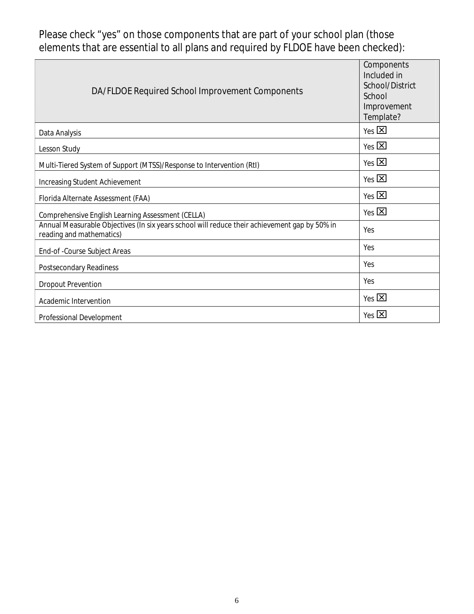Please check "yes"on those components that are part of your school plan (those elements that are essential to all plans and required by FLDOE have been checked):

| DA/FLDOE Required School Improvement Components                                                                           | Components<br>Included in<br>School/District<br>School<br>Improvement<br>Template? |
|---------------------------------------------------------------------------------------------------------------------------|------------------------------------------------------------------------------------|
| Data Analysis                                                                                                             | $Yes$ $\overline{X}$                                                               |
| Lesson Study                                                                                                              | $Yes$ $\overline{X}$                                                               |
| Multi-Tiered System of Support (MTSS)/Response to Intervention (RtI)                                                      | $Yes$ $\overline{X}$                                                               |
| Increasing Student Achievement                                                                                            | $Yes$ $\overline{X}$                                                               |
| Florida Alternate Assessment (FAA)                                                                                        | $Yes$ $\overline{X}$                                                               |
| Comprehensive English Learning Assessment (CELLA)                                                                         | Yes $\boxtimes$                                                                    |
| Annual Measurable Objectives (In six years school will reduce their achievement gap by 50% in<br>reading and mathematics) | Yes                                                                                |
| End-of-Course Subject Areas                                                                                               | Yes                                                                                |
| Postsecondary Readiness                                                                                                   | Yes                                                                                |
| Dropout Prevention                                                                                                        | Yes                                                                                |
| Academic Intervention                                                                                                     | $Yes$ $\overline{\mathbf{X}}$                                                      |
| Professional Development                                                                                                  | $Yes$ $X$                                                                          |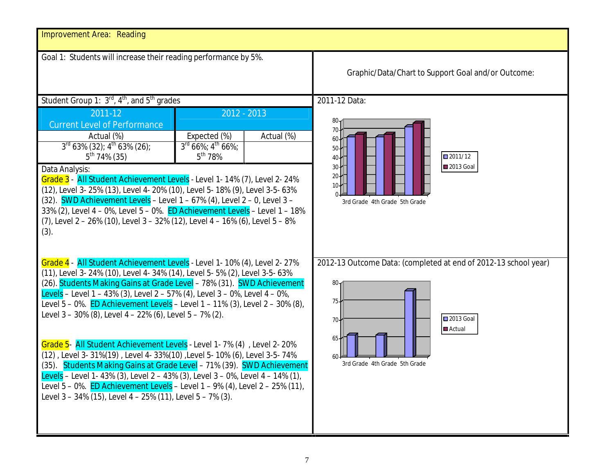| Improvement Area: Reading                                                                                                                                                                                                                                                                                                                                                                                                                                                                                                                                                                                                                                                                                                                                                                                                                                                                                                             |                                                                                                                                              |
|---------------------------------------------------------------------------------------------------------------------------------------------------------------------------------------------------------------------------------------------------------------------------------------------------------------------------------------------------------------------------------------------------------------------------------------------------------------------------------------------------------------------------------------------------------------------------------------------------------------------------------------------------------------------------------------------------------------------------------------------------------------------------------------------------------------------------------------------------------------------------------------------------------------------------------------|----------------------------------------------------------------------------------------------------------------------------------------------|
| Goal 1: Students will increase their reading performance by 5%.                                                                                                                                                                                                                                                                                                                                                                                                                                                                                                                                                                                                                                                                                                                                                                                                                                                                       | Graphic/Data/Chart to Support Goal and/or Outcome:                                                                                           |
| Student Group 1: 3 <sup>rd</sup> , 4 <sup>th</sup> , and 5 <sup>th</sup> grades<br>$2012 - 2013$<br>2011-12<br><b>Current Level of Performance</b><br>Expected (%)<br>Actual (%)<br>Actual (%)<br>$3rd 63% (32)$ ; 4 <sup>th</sup> 63% (26);<br>$3^{\text{rd}}$ 66%; $4^{\text{th}}$ 66%;<br>$5^{th}$ 78%<br>$5^{th}$ 74% (35)<br>Data Analysis:<br>Grade 3 - All Student Achievement Levels - Level 1-14% (7), Level 2-24%<br>(12), Level 3-25% (13), Level 4-20% (10), Level 5-18% (9), Level 3-5-63%<br>$(32)$ . SWD Achievement Levels - Level 1 - 67% (4), Level 2 - 0, Level 3 -<br>33% (2), Level 4 - 0%, Level 5 - 0%. ED Achievement Levels - Level 1 - 18%<br>$(7)$ , Level 2 – 26% (10), Level 3 – 32% (12), Level 4 – 16% (6), Level 5 – 8%<br>(3).                                                                                                                                                                       | 2011-12 Data:<br>2011/12<br>■2013 Goal<br>3rd Grade 4th Grade 5th Grade                                                                      |
| Grade 4 - All Student Achievement Levels - Level 1- 10% (4), Level 2- 27%<br>(11), Level 3- 24% (10), Level 4- 34% (14), Level 5- 5% (2), Level 3-5- 63%<br>(26). Students Making Gains at Grade Level - 78% (31). SWD Achievement<br>Levels - Level 1 - 43% (3), Level 2 - 57% (4), Level 3 - 0%, Level 4 - 0%,<br>Level 5 – 0%. <mark>ED Achievement Levels</mark> – Level 1 – 11% (3), Level 2 – 30% (8),<br>Level 3 - 30% (8), Level 4 - 22% (6), Level 5 - 7% (2).<br>Grade 5- All Student Achievement Levels - Level 1-7% (4), Level 2-20%<br>(12), Level 3-31%(19), Level 4-33%(10), Level 5-10% (6), Level 3-5-74%<br>(35). Students Making Gains at Grade Level - 71% (39). SWD Achievement<br>Levels - Level 1-43% (3), Level 2 - 43% (3), Level 3 - 0%, Level 4 - 14% (1),<br>Level $5 - 0\%$ . ED Achievement Levels - Level 1 - 9% (4), Level 2 - 25% (11),<br>Level 3 - 34% (15), Level 4 - 25% (11), Level 5 - 7% (3). | 2012-13 Outcome Data: (completed at end of 2012-13 school year)<br>80.<br>75.<br>2013 Goal<br>70.<br>Actual<br>3rd Grade 4th Grade 5th Grade |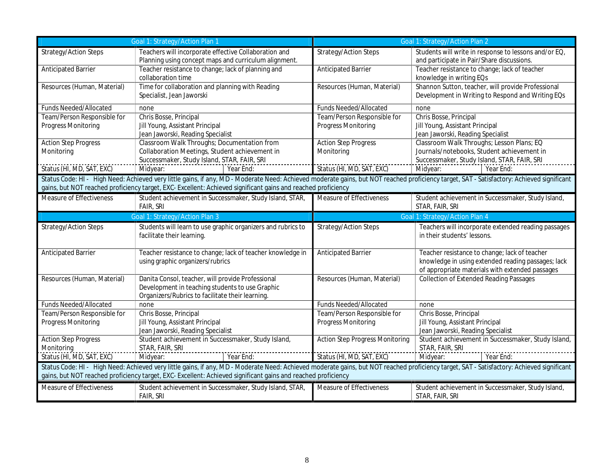|                                                    | pal 1: Strategy/Action Plan                                                                                                                                                                                                                                                                                 |                                                    | Goal 1: Strategy/Action Plan                                                                                                                           |
|----------------------------------------------------|-------------------------------------------------------------------------------------------------------------------------------------------------------------------------------------------------------------------------------------------------------------------------------------------------------------|----------------------------------------------------|--------------------------------------------------------------------------------------------------------------------------------------------------------|
| Strategy/Action Steps                              | Teachers will incorporate effective Collaboration and<br>Planning using concept maps and curriculum alignment.                                                                                                                                                                                              | Strategy/Action Steps                              | Students will write in response to lessons and/or EQ,<br>and participate in Pair/Share discussions.                                                    |
| <b>Anticipated Barrier</b>                         | Teacher resistance to change; lack of planning and<br>collaboration time                                                                                                                                                                                                                                    | <b>Anticipated Barrier</b>                         | Teacher resistance to change; lack of teacher<br>knowledge in writing EQs                                                                              |
| Resources (Human, Material)                        | Time for collaboration and planning with Reading<br>Specialist, Jean Jaworski                                                                                                                                                                                                                               | Resources (Human, Material)                        | Shannon Sutton, teacher, will provide Professional<br>Development in Writing to Respond and Writing EQs                                                |
| Funds Needed/Allocated                             | none                                                                                                                                                                                                                                                                                                        | Funds Needed/Allocated                             | none                                                                                                                                                   |
| Team/Person Responsible for<br>Progress Monitoring | Chris Bosse, Principal<br>Jill Young, Assistant Principal<br>Jean Jaworski, Reading Specialist                                                                                                                                                                                                              | Team/Person Responsible for<br>Progress Monitoring | Chris Bosse, Principal<br>Jill Young, Assistant Principal<br>Jean Jaworski, Reading Specialist                                                         |
| <b>Action Step Progress</b><br>Monitoring          | Classroom Walk Throughs; Documentation from<br>Collaboration Meetings, Student achievement in<br>Successmaker, Study Island, STAR, FAIR, SRI                                                                                                                                                                | <b>Action Step Progress</b><br>Monitoring          | Classroom Walk Throughs; Lesson Plans; EQ<br>Journals/notebooks, Student achievement in<br>Successmaker, Study Island, STAR, FAIR, SRI                 |
| Status (HI, MD, SAT, EXC)                          | Year End:<br>Midyear:                                                                                                                                                                                                                                                                                       | Status (HI, MD, SAT, EXC)                          | Year End<br>Midyear:                                                                                                                                   |
|                                                    | Status Code: HI- High Need: Achieved very little gains, if any, MD-Moderate Need: Achieved moderate gains, but NOT reached proficiency target, SAT - Satisfactory: Achieved significant<br>gains, but NOT reached proficiency target, EXC- Excellent: Achieved significant gains and reached proficiency    |                                                    |                                                                                                                                                        |
| Measure of Effectiveness                           | Student achievement in Successmaker, Study Island, STAR,<br>FAIR, SRI                                                                                                                                                                                                                                       | Measure of Effectiveness                           | Student achievement in Successmaker, Study Island,<br>STAR, FAIR, SRI                                                                                  |
|                                                    |                                                                                                                                                                                                                                                                                                             |                                                    |                                                                                                                                                        |
| Strategy/Action Steps                              | Students will learn to use graphic organizers and rubrics to<br>facilitate their learning                                                                                                                                                                                                                   | Strategy/Action Steps                              | Teachers will incorporate extended reading passages<br>in their students' lessons.                                                                     |
| <b>Anticipated Barrier</b>                         | Teacher resistance to change; lack of teacher knowledge in<br>using graphic organizers/rubrics                                                                                                                                                                                                              | <b>Anticipated Barrier</b>                         | Teacher resistance to change; lack of teacher<br>knowledge in using extended reading passages; lack<br>of appropriate materials with extended passages |
| Resources (Human, Material)                        | Danita Consol, teacher, will provide Professional<br>Development in teaching students to use Graphic<br>Organizers/Rubrics to facilitate their learning                                                                                                                                                     | Resources (Human, Material)                        | <b>Collection of Extended Reading Passages</b>                                                                                                         |
| Funds Needed/Allocated                             | none                                                                                                                                                                                                                                                                                                        | <b>Funds Needed/Allocated</b>                      | none                                                                                                                                                   |
| Team/Person Responsible for<br>Progress Monitoring | Chris Bosse, Principal<br>Jill Young, Assistant Principal<br>Jean Jaworski, Reading Specialist                                                                                                                                                                                                              | Team/Person Responsible for<br>Progress Monitoring | Chris Bosse, Principal<br>Jill Young, Assistant Principal<br>Jean Jaworski, Reading Specialist                                                         |
| <b>Action Step Progress</b><br>Monitoring          | Student achievement in Successmaker, Study Island,<br>STAR, FAIR, SRI                                                                                                                                                                                                                                       | Action Step Progress Monitoring                    | Student achievement in Successmaker, Study Island,<br>STAR, FAIR, SRI                                                                                  |
| Status (HI, MD, SAT, EXC)                          | Year End:<br>Midyear:                                                                                                                                                                                                                                                                                       | Status (HI, MD, SAT, EXC)                          | Year End<br>Midyear:                                                                                                                                   |
|                                                    | Status Code: HI - High Need: Achieved very little gains, if any, MD - Moderate Need: Achieved moderate gains, but NOT reached proficiency target, SAT - Satisfactory: Achieved significant<br>gains, but NOT reached proficiency target, EXC- Excellent: Achieved significant gains and reached proficiency |                                                    |                                                                                                                                                        |
| Measure of Effectiveness                           | Student achievement in Successmaker, Study Island, STAR,<br>FAIR, SRI                                                                                                                                                                                                                                       | Measure of Effectiveness                           | Student achievement in Successmaker, Study Island,<br>STAR, FAIR, SRI                                                                                  |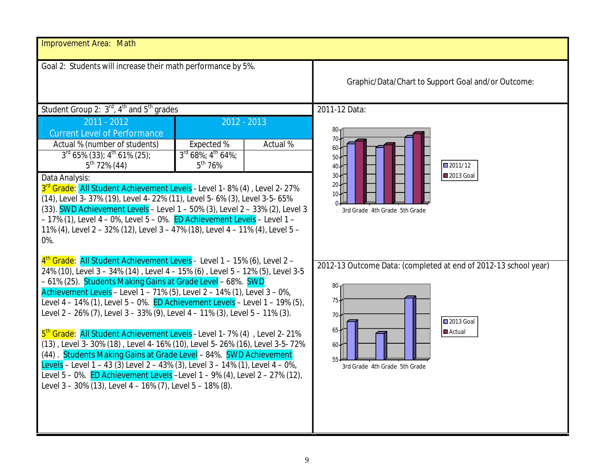| Improvement Area: Math                                                                                                                                                                                                                                                                                                                                                                                                                                                                                                                                                                                                                                                                                                                                                                                                                                                                                                                                 |                                                             |                |                                                                                                                                                                       |  |
|--------------------------------------------------------------------------------------------------------------------------------------------------------------------------------------------------------------------------------------------------------------------------------------------------------------------------------------------------------------------------------------------------------------------------------------------------------------------------------------------------------------------------------------------------------------------------------------------------------------------------------------------------------------------------------------------------------------------------------------------------------------------------------------------------------------------------------------------------------------------------------------------------------------------------------------------------------|-------------------------------------------------------------|----------------|-----------------------------------------------------------------------------------------------------------------------------------------------------------------------|--|
| Goal 2: Students will increase their math performance by 5%.                                                                                                                                                                                                                                                                                                                                                                                                                                                                                                                                                                                                                                                                                                                                                                                                                                                                                           |                                                             |                | Graphic/Data/Chart to Support Goal and/or Outcome:                                                                                                                    |  |
| Student Group 2: 3 <sup>rd</sup> , 4 <sup>th</sup> and 5 <sup>th</sup> grades                                                                                                                                                                                                                                                                                                                                                                                                                                                                                                                                                                                                                                                                                                                                                                                                                                                                          |                                                             |                | 2011-12 Data:                                                                                                                                                         |  |
| $2011 - 2012$<br><b>Current Level of Performance</b>                                                                                                                                                                                                                                                                                                                                                                                                                                                                                                                                                                                                                                                                                                                                                                                                                                                                                                   |                                                             | $-2012 - 2013$ |                                                                                                                                                                       |  |
| Actual % (number of students)<br>$3^{\text{rd}}$ 65% (33); $4^{\text{th}}$ 61% (25);<br>$5^{th}$ 72% (44)<br>Data Analysis:<br>3rd Grade: All Student Achievement Levels - Level 1 - 8% (4), Level 2 - 27%<br>(14), Level 3- 37% (19), Level 4- 22% (11), Level 5- 6% (3), Level 3-5- 65%<br>(33). <b>SWD Achievement Levels</b> - Level 1 - 50% (3), Level 2 - 33% (2), Level 3<br>- 17% (1), Level 4 - 0%, Level 5 - 0%. ED Achievement Levels - Level 1 -<br>11% (4), Level 2 - 32% (12), Level 3 - 47% (18), Level 4 - 11% (4), Level 5 -<br>0%.                                                                                                                                                                                                                                                                                                                                                                                                   | Expected %<br>3rd 68%; 4 <sup>th</sup> 64%;<br>$5^{th}$ 76% | Actual %       | 2011/12<br>2013 Goal<br>3rd Grade 4th Grade 5th Grade                                                                                                                 |  |
| $4th$ Grade: All Student Achievement Levels - Level 1 – 15% (6), Level 2 –<br>24% (10), Level 3 - 34% (14), Level 4 - 15% (6), Level 5 - 12% (5), Level 3-5<br>-61% (25). Students Making Gains at Grade Level - 68%. SWD<br>Achievement Levels - Level 1 - 71% (5), Level 2 - 14% (1), Level 3 - 0%,<br>Level $4 - 14\%$ (1), Level $5 - 0\%$ . ED Achievement Levels - Level $1 - 19\%$ (5),<br>Level 2 - 26% (7), Level 3 - 33% (9), Level 4 - 11% (3), Level 5 - 11% (3).<br>5 <sup>th</sup> Grade: All Student Achievement Levels - Level 1 - 7% (4), Level 2 - 21%<br>(13), Level 3-30% (18), Level 4-16% (10), Level 5-26% (16), Level 3-5-72%<br>(44) Students Making Gains at Grade Level - 84%. SWD Achievement<br>Levels - Level 1 - 43 (3) Level 2 - 43% (3), Level 3 - 14% (1), Level 4 - 0%,<br>Level 5 - 0%. ED Achievement Levels - Level 1 - 9% (4), Level 2 - 27% (12),<br>Level 3 - 30% (13), Level 4 - 16% (7), Level 5 - 18% (8). |                                                             |                | 2012-13 Outcome Data: (completed at end of 2012-13 school year)<br>80.<br>75<br>70<br><b>2013 Goal</b><br>65<br><b>Actual</b><br>60-<br>3rd Grade 4th Grade 5th Grade |  |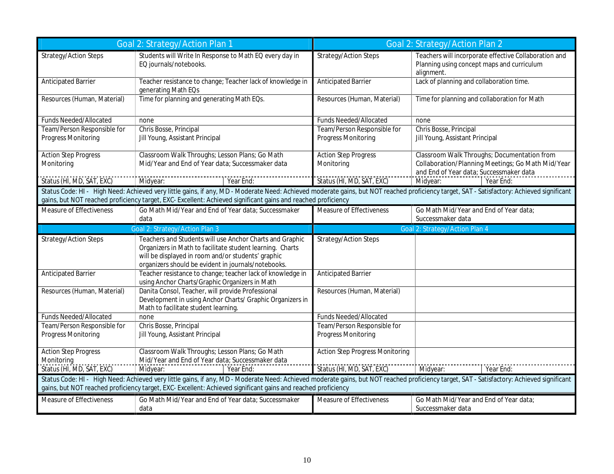|                                           | Strategy/Action P <u>lan</u>                                                                                                                                                                                                                                                                                | Joal                                   | Strategy/Action Plan                                                                                              |
|-------------------------------------------|-------------------------------------------------------------------------------------------------------------------------------------------------------------------------------------------------------------------------------------------------------------------------------------------------------------|----------------------------------------|-------------------------------------------------------------------------------------------------------------------|
| Strategy/Action Steps                     | Students will Write In Response to Math EQ every day in<br>EQ journals/notebooks.                                                                                                                                                                                                                           | Strategy/Action Steps                  | Teachers will incorporate effective Collaboration and<br>Planning using concept maps and curriculum<br>alignment. |
| <b>Anticipated Barrier</b>                | Teacher resistance to change; Teacher lack of knowledge in<br>generating Math EQs                                                                                                                                                                                                                           | <b>Anticipated Barrier</b>             | Lack of planning and collaboration time.                                                                          |
| Resources (Human, Material)               | Time for planning and generating Math EQs.                                                                                                                                                                                                                                                                  | Resources (Human, Material)            | Time for planning and collaboration for Math                                                                      |
| Funds Needed/Allocated                    | none                                                                                                                                                                                                                                                                                                        | Funds Needed/Allocated                 | none                                                                                                              |
| Team/Person Responsible for               | Chris Bosse, Principal                                                                                                                                                                                                                                                                                      | Team/Person Responsible for            | Chris Bosse, Principal                                                                                            |
| Progress Monitoring                       | Jill Young, Assistant Principal                                                                                                                                                                                                                                                                             | Progress Monitoring                    | Jill Young, Assistant Principal                                                                                   |
| <b>Action Step Progress</b>               | Classroom Walk Throughs; Lesson Plans; Go Math                                                                                                                                                                                                                                                              | <b>Action Step Progress</b>            | Classroom Walk Throughs; Documentation from                                                                       |
| Monitoring                                | Mid/Year and End of Year data; Successmaker data                                                                                                                                                                                                                                                            | Monitoring                             | Collaboration/Planning Meetings; Go Math Mid/Year<br>and End of Year data; Successmaker data                      |
| Status (HI, MD, SAT, EXC)                 | Midyear:<br>Year End:                                                                                                                                                                                                                                                                                       | Status (HI, MD, SAT, EXC)              | Year End<br>Midyear:                                                                                              |
|                                           | Status Code: HI - High Need: Achieved very little gains, if any, MD - Moderate Need: Achieved moderate gains, but NOT reached proficiency target, SAT - Satisfactory: Achieved significant<br>gains, but NOT reached proficiency target, EXC- Excellent: Achieved significant gains and reached proficiency |                                        |                                                                                                                   |
| Measure of Effectiveness                  | Go Math Mid/Year and End of Year data; Successmaker                                                                                                                                                                                                                                                         | Measure of Effectiveness               | Go Math Mid/Year and End of Year data                                                                             |
|                                           | data                                                                                                                                                                                                                                                                                                        |                                        | Successmaker data                                                                                                 |
|                                           |                                                                                                                                                                                                                                                                                                             |                                        | 60al 2: Strategy/Action Plan 4                                                                                    |
| Strategy/Action Steps                     | Teachers and Students will use Anchor Charts and Graphic<br>Organizers in Math to facilitate student learning. Charts<br>will be displayed in room and/or students' graphic<br>organizers should be evident in journals/notebooks.                                                                          | Strategy/Action Steps                  |                                                                                                                   |
| <b>Anticipated Barrier</b>                | Teacher resistance to change; teacher lack of knowledge in<br>using Anchor Charts/Graphic Organizers in Math                                                                                                                                                                                                | Anticipated Barrier                    |                                                                                                                   |
| Resources (Human, Material)               | Danita Consol, Teacher, will provide Professional<br>Development in using Anchor Charts/ Graphic Organizers in<br>Math to facilitate student learning.                                                                                                                                                      | Resources (Human, Material)            |                                                                                                                   |
| Funds Needed/Allocated                    | none                                                                                                                                                                                                                                                                                                        | Funds Needed/Allocated                 |                                                                                                                   |
| Team/Person Responsible for               | Chris Bosse, Principal                                                                                                                                                                                                                                                                                      | Team/Person Responsible for            |                                                                                                                   |
| Progress Monitoring                       | Jill Young, Assistant Principal                                                                                                                                                                                                                                                                             | Progress Monitoring                    |                                                                                                                   |
| <b>Action Step Progress</b><br>Monitoring | Classroom Walk Throughs; Lesson Plans; Go Math<br>Mid/Year and End of Year data; Successmaker data                                                                                                                                                                                                          | <b>Action Step Progress Monitoring</b> |                                                                                                                   |
| Status (HI, MD, SAT, EXC)                 | Midyear<br>Year End                                                                                                                                                                                                                                                                                         | Status (HI, MD, SAT, EXC)              | Midyear<br>Year End                                                                                               |
|                                           | Status Code: HI - High Need: Achieved very little gains, if any, MD - Moderate Need: Achieved moderate gains, but NOT reached proficiency target, SAT - Satisfactory: Achieved significant<br>gains, but NOT reached proficiency target, EXC- Excellent: Achieved significant gains and reached proficiency |                                        |                                                                                                                   |
| Measure of Effectiveness                  | Go Math Mid/Year and End of Year data; Successmaker<br>data                                                                                                                                                                                                                                                 | Measure of Effectiveness               | Go Math Mid/Year and End of Year data<br>Successmaker data                                                        |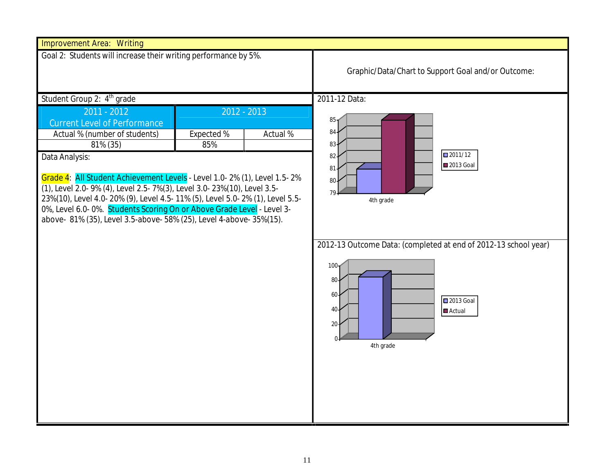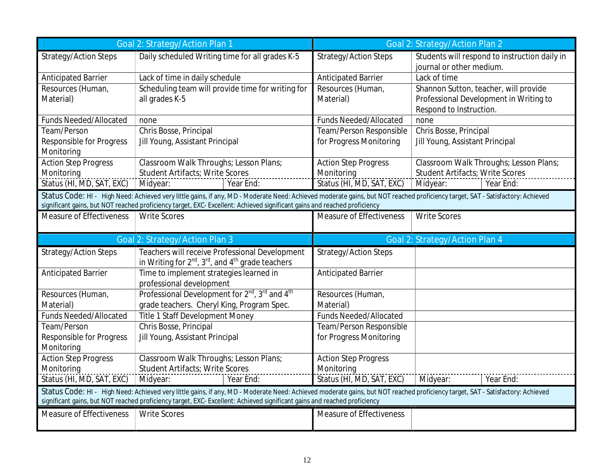| Strategy/Action Steps                                 | Daily scheduled Writing time for all grades K-5                                                                                                                                                                                                                                                             | Strategy/Action Steps                                                  | Students will respond to instruction daily in<br>journal or other medium.                                  |
|-------------------------------------------------------|-------------------------------------------------------------------------------------------------------------------------------------------------------------------------------------------------------------------------------------------------------------------------------------------------------------|------------------------------------------------------------------------|------------------------------------------------------------------------------------------------------------|
| Anticipated Barrier                                   | Lack of time in daily schedule                                                                                                                                                                                                                                                                              | Anticipated Barrier                                                    | Lack of time                                                                                               |
| Resources (Human,<br>Material)                        | Scheduling team will provide time for writing for<br>all grades K-5                                                                                                                                                                                                                                         | Resources (Human,<br>Material)                                         | Shannon Sutton, teacher, will provide<br>Professional Development in Writing to<br>Respond to Instruction. |
| <b>Funds Needed/Allocated</b>                         | none                                                                                                                                                                                                                                                                                                        | <b>Funds Needed/Allocated</b>                                          | none                                                                                                       |
| Team/Person<br>Responsible for Progress<br>Monitoring | Chris Bosse, Principal<br>Jill Young, Assistant Principal                                                                                                                                                                                                                                                   | Team/Person Responsible<br>for Progress Monitoring                     | Chris Bosse, Principal<br>Jill Young, Assistant Principal                                                  |
| <b>Action Step Progress</b><br>Monitoring             | Classroom Walk Throughs; Lesson Plans;<br>Student Artifacts; Write Scores<br>Year End<br>Midyear:                                                                                                                                                                                                           | <b>Action Step Progress</b><br>Monitoring<br>Status (HI, MD, SAT, EXC) | Classroom Walk Throughs; Lesson Plans;<br>Student Artifacts; Write Scores<br>Midyear:<br>Year End          |
|                                                       | Status Code: HI - High Need: Achieved very little gains, if any, MD - Moderate Need: Achieved moderate gains, but NOT reached proficiency target, SAT - Satisfactory: Achieved<br>significant gains, but NOT reached proficiency target, EXC- Excellent: Achieved significant gains and reached proficiency |                                                                        |                                                                                                            |
| Measure of Effectiveness                              | <b>Write Scores</b>                                                                                                                                                                                                                                                                                         | Measure of Effectiveness                                               | <b>Write Scores</b>                                                                                        |
|                                                       |                                                                                                                                                                                                                                                                                                             |                                                                        |                                                                                                            |
|                                                       | egy/Action Plan                                                                                                                                                                                                                                                                                             |                                                                        | Goal 2: Strategy/Action Plan 4                                                                             |
| Strategy/Action Steps                                 | Teachers will receive Professional Development<br>in Writing for $2^{nd}$ , $3^{rd}$ , and $4^{th}$ grade teachers                                                                                                                                                                                          | Strategy/Action Steps                                                  |                                                                                                            |
| Anticipated Barrier                                   | Time to implement strategies learned in<br>professional development                                                                                                                                                                                                                                         | Anticipated Barrier                                                    |                                                                                                            |
| Resources (Human,<br>Material)                        | Professional Development for 2 <sup>nd</sup> , 3 <sup>rd</sup> and 4 <sup>th</sup><br>grade teachers. Cheryl King, Program Spec.                                                                                                                                                                            | Resources (Human,<br>Material)                                         |                                                                                                            |
| Funds Needed/Allocated                                | Title 1 Staff Development Money                                                                                                                                                                                                                                                                             | Funds Needed/Allocated                                                 |                                                                                                            |
| Team/Person<br>Responsible for Progress<br>Monitoring | Chris Bosse, Principal<br>Jill Young, Assistant Principal                                                                                                                                                                                                                                                   | Team/Person Responsible<br>for Progress Monitoring                     |                                                                                                            |
| <b>Action Step Progress</b>                           | Classroom Walk Throughs; Lesson Plans;                                                                                                                                                                                                                                                                      | <b>Action Step Progress</b>                                            |                                                                                                            |
| Monitoring<br>Status (HI, MD, SAT, EXC)               | Student Artifacts; Write Scores<br>Year End<br>Midyear:                                                                                                                                                                                                                                                     | Monitoring<br>Status (HI, MD, SAT, EXC)                                | Midyear:<br>Year End:                                                                                      |
|                                                       | Status Code: HI - High Need: Achieved very little gains, if any, MD - Moderate Need: Achieved moderate gains, but NOT reached proficiency target, SAT - Satisfactory: Achieved<br>significant gains, but NOT reached proficiency target, EXC-Excellent: Achieved significant gains and reached proficiency  |                                                                        |                                                                                                            |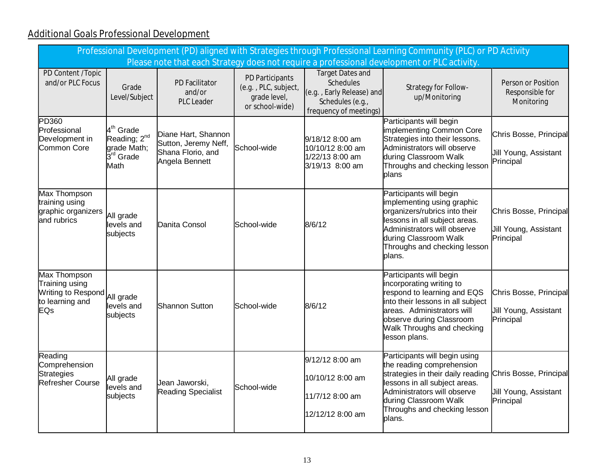# **Additional Goals Professional Development**

| Professional Development (PD) aligned with Strategies through Professional Learning Community (PLC) or PD Activity<br>Please note that each Strategy does not require a professional development or PLC activity |                                                                                                   |                                                                                    |                                                                            |                                                                                                                 |                                                                                                                                                                                                                                                           |                                                              |  |  |  |
|------------------------------------------------------------------------------------------------------------------------------------------------------------------------------------------------------------------|---------------------------------------------------------------------------------------------------|------------------------------------------------------------------------------------|----------------------------------------------------------------------------|-----------------------------------------------------------------------------------------------------------------|-----------------------------------------------------------------------------------------------------------------------------------------------------------------------------------------------------------------------------------------------------------|--------------------------------------------------------------|--|--|--|
| PD Content /Topic<br>and/or PLC Focus                                                                                                                                                                            | Grade<br>Level/Subject                                                                            | PD Facilitator<br>and/or<br>PLC Leader                                             | PD Participants<br>(e.g., PLC, subject,<br>grade level,<br>or school-wide) | Target Dates and<br><b>Schedules</b><br>(e.g., Early Release) and<br>Schedules (e.g.,<br>frequency of meetings) | Strategy for Follow-<br>up/Monitoring                                                                                                                                                                                                                     | Person or Position<br>Responsible for<br>Monitoring          |  |  |  |
| PD360<br>Professional<br>Development in<br><b>Common Core</b>                                                                                                                                                    | 4 <sup>th</sup> Grade<br>Reading; 2 <sup>nd</sup><br>grade Math;<br>$3^{\text{rd}}$ Grade<br>Math | Diane Hart, Shannon<br>Sutton, Jeremy Neff,<br>Shana Florio, and<br>Angela Bennett | School-wide                                                                | 9/18/12 8:00 am<br>10/10/12 8:00 am<br>1/22/13 8:00 am<br>3/19/13 8:00 am                                       | Participants will begin<br>implementing Common Core<br>Strategies into their lessons.<br>Administrators will observe<br>during Classroom Walk<br>Throughs and checking lesson<br>blans                                                                    | Chris Bosse, Principal<br>Jill Young, Assistant<br>Principal |  |  |  |
| <b>Max Thompson</b><br>training using<br>graphic organizers<br>and rubrics                                                                                                                                       | All grade<br>levels and<br>subjects                                                               | Danita Consol                                                                      | School-wide                                                                | 8/6/12                                                                                                          | Participants will begin<br>implementing using graphic<br>organizers/rubrics into their<br>lessons in all subject areas.<br>Administrators will observe<br>during Classroom Walk<br>Throughs and checking lesson<br>plans.                                 | Chris Bosse, Principal<br>Jill Young, Assistant<br>Principal |  |  |  |
| Max Thompson<br>Training using<br>Writing to Respond All grade<br>to learning and<br>EQs                                                                                                                         | levels and<br>subjects                                                                            | <b>Shannon Sutton</b>                                                              | School-wide                                                                | 8/6/12                                                                                                          | Participants will begin<br>incorporating writing to<br>respond to learning and EQS<br>into their lessons in all subject<br>areas. Administrators will<br>observe during Classroom<br>Walk Throughs and checking<br>lesson plans.                          | Chris Bosse, Principal<br>Jill Young, Assistant<br>Principal |  |  |  |
| Reading<br>Comprehension<br><b>Strategies</b><br><b>Refresher Course</b>                                                                                                                                         | All grade<br>levels and<br>subjects                                                               | Jean Jaworski,<br><b>Reading Specialist</b>                                        | School-wide                                                                | 9/12/12 8:00 am<br>10/10/12 8:00 am<br>11/7/12 8:00 am<br>12/12/12 8:00 am                                      | Participants will begin using<br>the reading comprehension<br>strategies in their daily reading Chris Bosse, Principal<br>lessons in all subject areas.<br>Administrators will observe<br>during Classroom Walk<br>Throughs and checking lesson<br>plans. | Jill Young, Assistant<br>Principal                           |  |  |  |